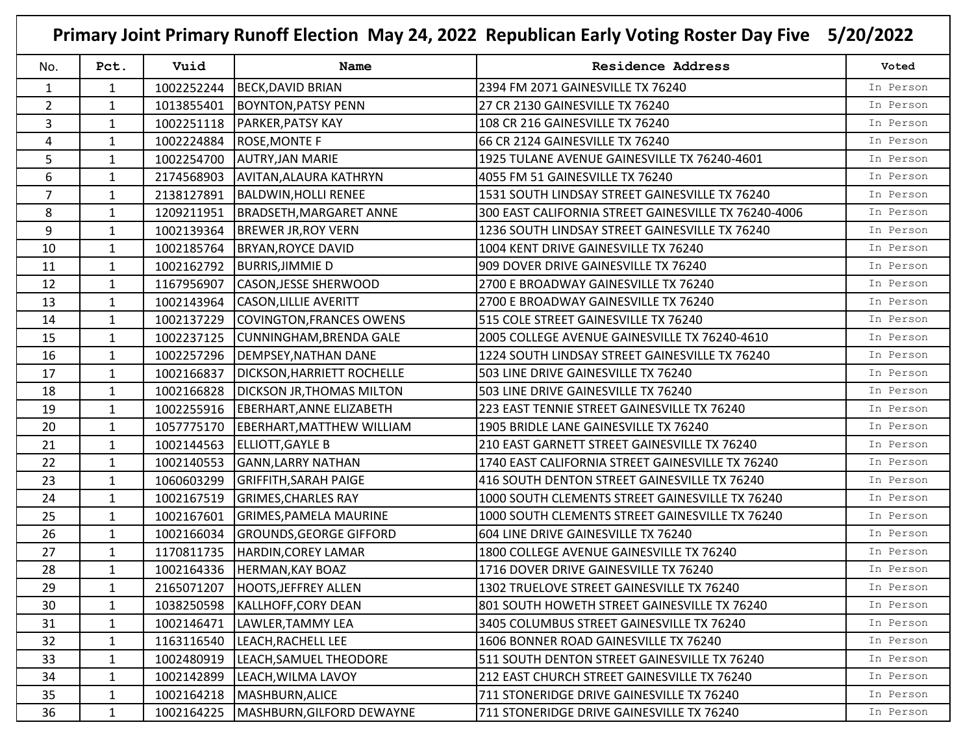| No.            | Pct.         | Vuid       | Name                              | <b>Residence Address</b>                             | Voted     |
|----------------|--------------|------------|-----------------------------------|------------------------------------------------------|-----------|
| 1              | $\mathbf{1}$ | 1002252244 | <b>BECK, DAVID BRIAN</b>          | 2394 FM 2071 GAINESVILLE TX 76240                    | In Person |
| $\overline{2}$ | 1            | 1013855401 | <b>BOYNTON, PATSY PENN</b>        | 27 CR 2130 GAINESVILLE TX 76240                      | In Person |
| $\overline{3}$ | 1            | 1002251118 | <b>PARKER, PATSY KAY</b>          | 108 CR 216 GAINESVILLE TX 76240                      | In Person |
| 4              | 1            | 1002224884 | <b>ROSE, MONTE F</b>              | 66 CR 2124 GAINESVILLE TX 76240                      | In Person |
| 5              | 1            | 1002254700 | <b>AUTRY, JAN MARIE</b>           | 1925 TULANE AVENUE GAINESVILLE TX 76240-4601         | In Person |
| 6              | $\mathbf{1}$ | 2174568903 | AVITAN, ALAURA KATHRYN            | 4055 FM 51 GAINESVILLE TX 76240                      | In Person |
| $\overline{7}$ | 1            | 2138127891 | <b>BALDWIN, HOLLI RENEE</b>       | 1531 SOUTH LINDSAY STREET GAINESVILLE TX 76240       | In Person |
| 8              | 1            | 1209211951 | <b>BRADSETH, MARGARET ANNE</b>    | 300 EAST CALIFORNIA STREET GAINESVILLE TX 76240-4006 | In Person |
| 9              | $\mathbf{1}$ | 1002139364 | <b>BREWER JR, ROY VERN</b>        | 1236 SOUTH LINDSAY STREET GAINESVILLE TX 76240       | In Person |
| 10             | 1            | 1002185764 | <b>BRYAN, ROYCE DAVID</b>         | 1004 KENT DRIVE GAINESVILLE TX 76240                 | In Person |
| 11             | $\mathbf{1}$ | 1002162792 | <b>BURRIS, JIMMIE D</b>           | 909 DOVER DRIVE GAINESVILLE TX 76240                 | In Person |
| 12             | 1            | 1167956907 | CASON, JESSE SHERWOOD             | 2700 E BROADWAY GAINESVILLE TX 76240                 | In Person |
| 13             | $\mathbf{1}$ | 1002143964 | <b>CASON, LILLIE AVERITT</b>      | 2700 E BROADWAY GAINESVILLE TX 76240                 | In Person |
| 14             | 1            | 1002137229 | COVINGTON, FRANCES OWENS          | 515 COLE STREET GAINESVILLE TX 76240                 | In Person |
| 15             | 1            | 1002237125 | <b>CUNNINGHAM, BRENDA GALE</b>    | 2005 COLLEGE AVENUE GAINESVILLE TX 76240-4610        | In Person |
| 16             | $\mathbf{1}$ | 1002257296 | <b>DEMPSEY, NATHAN DANE</b>       | 1224 SOUTH LINDSAY STREET GAINESVILLE TX 76240       | In Person |
| 17             | 1            | 1002166837 | <b>DICKSON, HARRIETT ROCHELLE</b> | 503 LINE DRIVE GAINESVILLE TX 76240                  | In Person |
| 18             | 1            | 1002166828 | <b>DICKSON JR, THOMAS MILTON</b>  | 503 LINE DRIVE GAINESVILLE TX 76240                  | In Person |
| 19             | $\mathbf{1}$ | 1002255916 | EBERHART, ANNE ELIZABETH          | 223 EAST TENNIE STREET GAINESVILLE TX 76240          | In Person |
| 20             | 1            | 1057775170 | <b>EBERHART, MATTHEW WILLIAM</b>  | 1905 BRIDLE LANE GAINESVILLE TX 76240                | In Person |
| 21             | 1            | 1002144563 | ELLIOTT, GAYLE B                  | 210 EAST GARNETT STREET GAINESVILLE TX 76240         | In Person |
| 22             | 1            | 1002140553 | <b>GANN, LARRY NATHAN</b>         | 1740 EAST CALIFORNIA STREET GAINESVILLE TX 76240     | In Person |
| 23             | $\mathbf{1}$ | 1060603299 | <b>GRIFFITH, SARAH PAIGE</b>      | 416 SOUTH DENTON STREET GAINESVILLE TX 76240         | In Person |
| 24             | 1            | 1002167519 | <b>GRIMES, CHARLES RAY</b>        | 1000 SOUTH CLEMENTS STREET GAINESVILLE TX 76240      | In Person |
| 25             | 1            | 1002167601 | <b>GRIMES, PAMELA MAURINE</b>     | 1000 SOUTH CLEMENTS STREET GAINESVILLE TX 76240      | In Person |
| 26             | $\mathbf{1}$ | 1002166034 | <b>GROUNDS, GEORGE GIFFORD</b>    | 604 LINE DRIVE GAINESVILLE TX 76240                  | In Person |
| 27             | $\mathbf{1}$ | 1170811735 | HARDIN, COREY LAMAR               | 1800 COLLEGE AVENUE GAINESVILLE TX 76240             | In Person |
| 28             | $\mathbf{1}$ |            | 1002164336 HERMAN, KAY BOAZ       | 1716 DOVER DRIVE GAINESVILLE TX 76240                | In Person |
| 29             | $\mathbf{1}$ | 2165071207 | <b>HOOTS, JEFFREY ALLEN</b>       | 1302 TRUELOVE STREET GAINESVILLE TX 76240            | In Person |
| 30             | $\mathbf{1}$ | 1038250598 | KALLHOFF, CORY DEAN               | 801 SOUTH HOWETH STREET GAINESVILLE TX 76240         | In Person |
| 31             | $\mathbf{1}$ | 1002146471 | LAWLER, TAMMY LEA                 | 3405 COLUMBUS STREET GAINESVILLE TX 76240            | In Person |
| 32             | $\mathbf{1}$ | 1163116540 | LEACH, RACHELL LEE                | 1606 BONNER ROAD GAINESVILLE TX 76240                | In Person |
| 33             | 1            | 1002480919 | LEACH, SAMUEL THEODORE            | 511 SOUTH DENTON STREET GAINESVILLE TX 76240         | In Person |
| 34             | 1            | 1002142899 | LEACH, WILMA LAVOY                | 212 EAST CHURCH STREET GAINESVILLE TX 76240          | In Person |
| 35             | $\mathbf{1}$ | 1002164218 | MASHBURN, ALICE                   | 711 STONERIDGE DRIVE GAINESVILLE TX 76240            | In Person |
| 36             | $\mathbf{1}$ | 1002164225 | MASHBURN, GILFORD DEWAYNE         | 711 STONERIDGE DRIVE GAINESVILLE TX 76240            | In Person |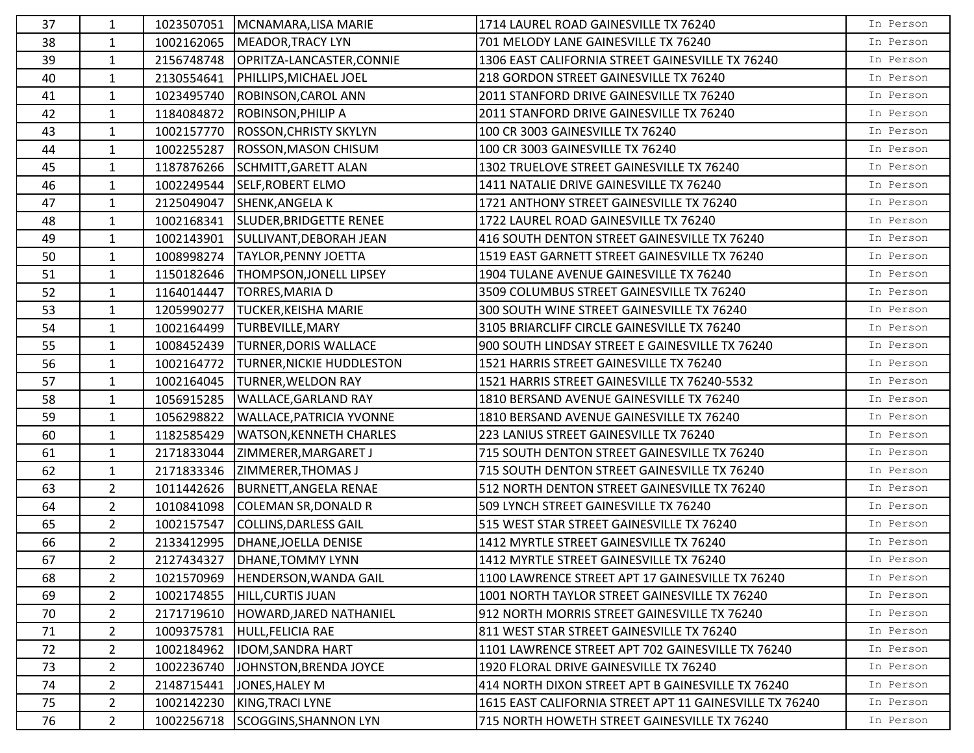| 37 | 1              | 1023507051 | MCNAMARA, LISA MARIE             | 1714 LAUREL ROAD GAINESVILLE TX 76240                   | In Person |
|----|----------------|------------|----------------------------------|---------------------------------------------------------|-----------|
| 38 | $\mathbf{1}$   | 1002162065 | MEADOR, TRACY LYN                | 701 MELODY LANE GAINESVILLE TX 76240                    | In Person |
| 39 | $\mathbf{1}$   | 2156748748 | OPRITZA-LANCASTER, CONNIE        | 1306 EAST CALIFORNIA STREET GAINESVILLE TX 76240        | In Person |
| 40 | $\mathbf{1}$   | 2130554641 | PHILLIPS, MICHAEL JOEL           | 218 GORDON STREET GAINESVILLE TX 76240                  | In Person |
| 41 | $\mathbf{1}$   | 1023495740 | <b>ROBINSON, CAROL ANN</b>       | 2011 STANFORD DRIVE GAINESVILLE TX 76240                | In Person |
| 42 | $\mathbf{1}$   | 1184084872 | <b>ROBINSON, PHILIP A</b>        | 2011 STANFORD DRIVE GAINESVILLE TX 76240                | In Person |
| 43 | 1              | 1002157770 | <b>ROSSON, CHRISTY SKYLYN</b>    | 100 CR 3003 GAINESVILLE TX 76240                        | In Person |
| 44 | 1              | 1002255287 | <b>ROSSON, MASON CHISUM</b>      | 100 CR 3003 GAINESVILLE TX 76240                        | In Person |
| 45 | $\mathbf{1}$   | 1187876266 | <b>SCHMITT, GARETT ALAN</b>      | 1302 TRUELOVE STREET GAINESVILLE TX 76240               | In Person |
| 46 | $\mathbf{1}$   |            | 1002249544 SELF, ROBERT ELMO     | 1411 NATALIE DRIVE GAINESVILLE TX 76240                 | In Person |
| 47 | $\mathbf{1}$   | 2125049047 | SHENK, ANGELA K                  | 1721 ANTHONY STREET GAINESVILLE TX 76240                | In Person |
| 48 | $\mathbf{1}$   | 1002168341 | SLUDER, BRIDGETTE RENEE          | 1722 LAUREL ROAD GAINESVILLE TX 76240                   | In Person |
| 49 | $\mathbf{1}$   | 1002143901 | SULLIVANT, DEBORAH JEAN          | 416 SOUTH DENTON STREET GAINESVILLE TX 76240            | In Person |
| 50 | $\mathbf{1}$   | 1008998274 | <b>TAYLOR, PENNY JOETTA</b>      | 1519 EAST GARNETT STREET GAINESVILLE TX 76240           | In Person |
| 51 | $\mathbf{1}$   | 1150182646 | THOMPSON, JONELL LIPSEY          | 1904 TULANE AVENUE GAINESVILLE TX 76240                 | In Person |
| 52 | $\mathbf{1}$   | 1164014447 | TORRES, MARIA D                  | 3509 COLUMBUS STREET GAINESVILLE TX 76240               | In Person |
| 53 | $\mathbf{1}$   | 1205990277 | <b>TUCKER, KEISHA MARIE</b>      | 300 SOUTH WINE STREET GAINESVILLE TX 76240              | In Person |
| 54 | $\mathbf{1}$   | 1002164499 | TURBEVILLE, MARY                 | 3105 BRIARCLIFF CIRCLE GAINESVILLE TX 76240             | In Person |
| 55 | $\mathbf{1}$   | 1008452439 | <b>TURNER, DORIS WALLACE</b>     | 900 SOUTH LINDSAY STREET E GAINESVILLE TX 76240         | In Person |
| 56 | 1              | 1002164772 | <b>TURNER, NICKIE HUDDLESTON</b> | 1521 HARRIS STREET GAINESVILLE TX 76240                 | In Person |
| 57 | $\mathbf{1}$   | 1002164045 | <b>TURNER, WELDON RAY</b>        | 1521 HARRIS STREET GAINESVILLE TX 76240-5532            | In Person |
| 58 | $\mathbf{1}$   | 1056915285 | <b>WALLACE, GARLAND RAY</b>      | 1810 BERSAND AVENUE GAINESVILLE TX 76240                | In Person |
| 59 | $\mathbf{1}$   | 1056298822 | <b>WALLACE, PATRICIA YVONNE</b>  | 1810 BERSAND AVENUE GAINESVILLE TX 76240                | In Person |
| 60 | $\mathbf{1}$   | 1182585429 | <b>WATSON, KENNETH CHARLES</b>   | 223 LANIUS STREET GAINESVILLE TX 76240                  | In Person |
| 61 | $\mathbf{1}$   | 2171833044 | ZIMMERER, MARGARET J             | 715 SOUTH DENTON STREET GAINESVILLE TX 76240            | In Person |
| 62 | $\mathbf{1}$   | 2171833346 | <b>ZIMMERER, THOMAS J</b>        | 715 SOUTH DENTON STREET GAINESVILLE TX 76240            | In Person |
| 63 | $\overline{2}$ | 1011442626 | <b>BURNETT, ANGELA RENAE</b>     | 512 NORTH DENTON STREET GAINESVILLE TX 76240            | In Person |
| 64 | $\overline{2}$ | 1010841098 | <b>COLEMAN SR, DONALD R</b>      | 509 LYNCH STREET GAINESVILLE TX 76240                   | In Person |
| 65 | $2^{\circ}$    | 1002157547 | COLLINS, DARLESS GAIL            | 515 WEST STAR STREET GAINESVILLE TX 76240               | In Person |
| 66 | $2^{\circ}$    | 2133412995 | DHANE, JOELLA DENISE             | 1412 MYRTLE STREET GAINESVILLE TX 76240                 | In Person |
| 67 | $\overline{2}$ |            | 2127434327   DHANE, TOMMY LYNN   | 1412 MYRTLE STREET GAINESVILLE TX 76240                 | In Person |
| 68 | 2              | 1021570969 | HENDERSON, WANDA GAIL            | 1100 LAWRENCE STREET APT 17 GAINESVILLE TX 76240        | In Person |
| 69 | $\overline{2}$ | 1002174855 | <b>HILL, CURTIS JUAN</b>         | 1001 NORTH TAYLOR STREET GAINESVILLE TX 76240           | In Person |
| 70 | $\overline{2}$ | 2171719610 | HOWARD, JARED NATHANIEL          | 912 NORTH MORRIS STREET GAINESVILLE TX 76240            | In Person |
| 71 | $\overline{2}$ | 1009375781 | HULL, FELICIA RAE                | 811 WEST STAR STREET GAINESVILLE TX 76240               | In Person |
| 72 | $\overline{2}$ | 1002184962 | <b>IDOM, SANDRA HART</b>         | 1101 LAWRENCE STREET APT 702 GAINESVILLE TX 76240       | In Person |
| 73 | $\overline{2}$ | 1002236740 | JOHNSTON, BRENDA JOYCE           | 1920 FLORAL DRIVE GAINESVILLE TX 76240                  | In Person |
| 74 | 2              | 2148715441 | JONES, HALEY M                   | 414 NORTH DIXON STREET APT B GAINESVILLE TX 76240       | In Person |
| 75 | $\overline{2}$ | 1002142230 | KING, TRACI LYNE                 | 1615 EAST CALIFORNIA STREET APT 11 GAINESVILLE TX 76240 | In Person |
| 76 | $\overline{2}$ |            | 1002256718 SCOGGINS, SHANNON LYN | 715 NORTH HOWETH STREET GAINESVILLE TX 76240            | In Person |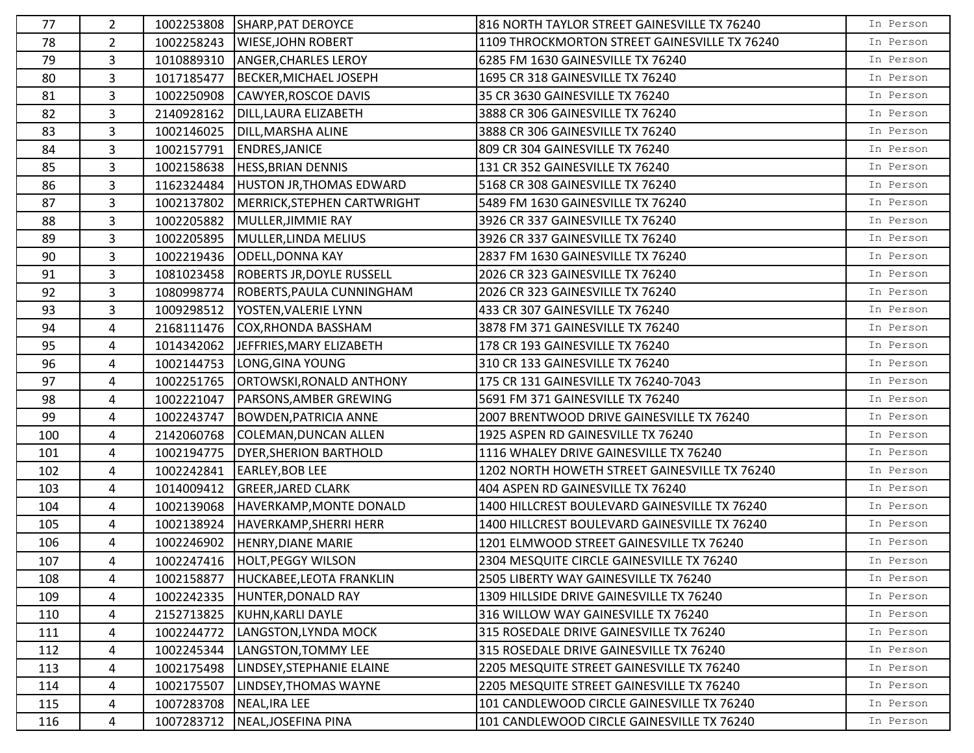| 77  | $\overline{2}$ |            | 1002253808 SHARP, PAT DEROYCE         | 816 NORTH TAYLOR STREET GAINESVILLE TX 76240  | In Person |
|-----|----------------|------------|---------------------------------------|-----------------------------------------------|-----------|
| 78  | $\overline{2}$ |            | 1002258243   WIESE, JOHN ROBERT       | 1109 THROCKMORTON STREET GAINESVILLE TX 76240 | In Person |
| 79  | 3              | 1010889310 | <b>ANGER, CHARLES LEROY</b>           | 6285 FM 1630 GAINESVILLE TX 76240             | In Person |
| 80  | 3              | 1017185477 | BECKER, MICHAEL JOSEPH                | 1695 CR 318 GAINESVILLE TX 76240              | In Person |
| 81  | 3              | 1002250908 | CAWYER, ROSCOE DAVIS                  | 35 CR 3630 GAINESVILLE TX 76240               | In Person |
| 82  | 3              | 2140928162 | DILL, LAURA ELIZABETH                 | 3888 CR 306 GAINESVILLE TX 76240              | In Person |
| 83  | 3              | 1002146025 | DILL, MARSHA ALINE                    | 3888 CR 306 GAINESVILLE TX 76240              | In Person |
| 84  | 3              | 1002157791 | <b>ENDRES, JANICE</b>                 | 809 CR 304 GAINESVILLE TX 76240               | In Person |
| 85  | 3              | 1002158638 | <b>HESS, BRIAN DENNIS</b>             | 131 CR 352 GAINESVILLE TX 76240               | In Person |
| 86  | 3              |            | 1162324484   HUSTON JR, THOMAS EDWARD | 5168 CR 308 GAINESVILLE TX 76240              | In Person |
| 87  | 3              | 1002137802 | MERRICK, STEPHEN CARTWRIGHT           | 5489 FM 1630 GAINESVILLE TX 76240             | In Person |
| 88  | 3              | 1002205882 | MULLER, JIMMIE RAY                    | 3926 CR 337 GAINESVILLE TX 76240              | In Person |
| 89  | 3              | 1002205895 | MULLER, LINDA MELIUS                  | 3926 CR 337 GAINESVILLE TX 76240              | In Person |
| 90  | 3              | 1002219436 | <b>ODELL, DONNA KAY</b>               | 2837 FM 1630 GAINESVILLE TX 76240             | In Person |
| 91  | 3              | 1081023458 | <b>ROBERTS JR, DOYLE RUSSELL</b>      | 2026 CR 323 GAINESVILLE TX 76240              | In Person |
| 92  | 3              | 1080998774 | ROBERTS, PAULA CUNNINGHAM             | 2026 CR 323 GAINESVILLE TX 76240              | In Person |
| 93  | 3              | 1009298512 | YOSTEN, VALERIE LYNN                  | 433 CR 307 GAINESVILLE TX 76240               | In Person |
| 94  | 4              | 2168111476 | COX, RHONDA BASSHAM                   | 3878 FM 371 GAINESVILLE TX 76240              | In Person |
| 95  | 4              | 1014342062 | JEFFRIES, MARY ELIZABETH              | 178 CR 193 GAINESVILLE TX 76240               | In Person |
| 96  | 4              | 1002144753 | LONG, GINA YOUNG                      | 310 CR 133 GAINESVILLE TX 76240               | In Person |
| 97  | 4              | 1002251765 | ORTOWSKI, RONALD ANTHONY              | 175 CR 131 GAINESVILLE TX 76240-7043          | In Person |
| 98  | 4              | 1002221047 | <b>PARSONS, AMBER GREWING</b>         | 5691 FM 371 GAINESVILLE TX 76240              | In Person |
| 99  | 4              | 1002243747 | <b>BOWDEN, PATRICIA ANNE</b>          | 2007 BRENTWOOD DRIVE GAINESVILLE TX 76240     | In Person |
| 100 | 4              | 2142060768 | COLEMAN, DUNCAN ALLEN                 | 1925 ASPEN RD GAINESVILLE TX 76240            | In Person |
| 101 | 4              | 1002194775 | <b>DYER, SHERION BARTHOLD</b>         | 1116 WHALEY DRIVE GAINESVILLE TX 76240        | In Person |
| 102 | 4              | 1002242841 | <b>EARLEY, BOB LEE</b>                | 1202 NORTH HOWETH STREET GAINESVILLE TX 76240 | In Person |
| 103 | 4              | 1014009412 | <b>GREER, JARED CLARK</b>             | 404 ASPEN RD GAINESVILLE TX 76240             | In Person |
| 104 | 4              | 1002139068 | HAVERKAMP, MONTE DONALD               | 1400 HILLCREST BOULEVARD GAINESVILLE TX 76240 | In Person |
| 105 | 4              | 1002138924 | HAVERKAMP, SHERRI HERR                | 1400 HILLCREST BOULEVARD GAINESVILLE TX 76240 | In Person |
| 106 | 4              | 1002246902 | <b>HENRY, DIANE MARIE</b>             | 1201 ELMWOOD STREET GAINESVILLE TX 76240      | In Person |
| 107 | 4              |            | 1002247416 HOLT, PEGGY WILSON         | 2304 MESQUITE CIRCLE GAINESVILLE TX 76240     | In Person |
| 108 | 4              | 1002158877 | HUCKABEE, LEOTA FRANKLIN              | 2505 LIBERTY WAY GAINESVILLE TX 76240         | In Person |
| 109 | 4              | 1002242335 | HUNTER, DONALD RAY                    | 1309 HILLSIDE DRIVE GAINESVILLE TX 76240      | In Person |
| 110 | 4              | 2152713825 | KUHN, KARLI DAYLE                     | 316 WILLOW WAY GAINESVILLE TX 76240           | In Person |
| 111 | 4              | 1002244772 | LANGSTON, LYNDA MOCK                  | 315 ROSEDALE DRIVE GAINESVILLE TX 76240       | In Person |
| 112 | 4              | 1002245344 | LANGSTON, TOMMY LEE                   | 315 ROSEDALE DRIVE GAINESVILLE TX 76240       | In Person |
| 113 | 4              | 1002175498 | LINDSEY, STEPHANIE ELAINE             | 2205 MESQUITE STREET GAINESVILLE TX 76240     | In Person |
| 114 | 4              | 1002175507 | LINDSEY, THOMAS WAYNE                 | 2205 MESQUITE STREET GAINESVILLE TX 76240     | In Person |
| 115 | 4              | 1007283708 | NEAL, IRA LEE                         | 101 CANDLEWOOD CIRCLE GAINESVILLE TX 76240    | In Person |
| 116 | 4              | 1007283712 | NEAL, JOSEFINA PINA                   | 101 CANDLEWOOD CIRCLE GAINESVILLE TX 76240    | In Person |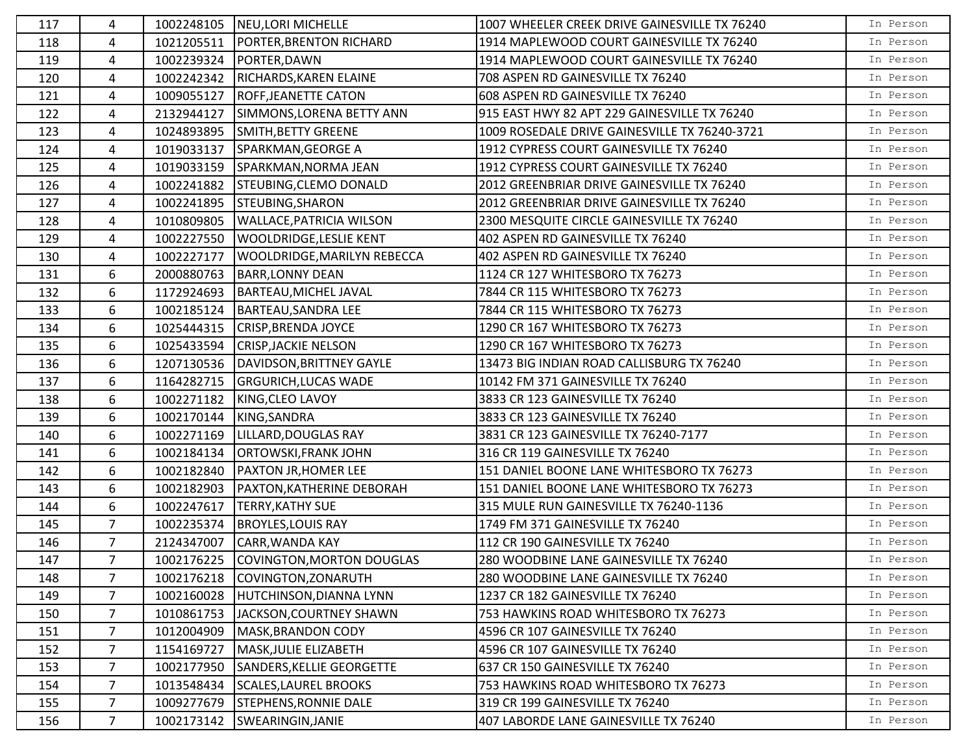| 117 | 4              | 1002248105 | NEU, LORI MICHELLE                   | 1007 WHEELER CREEK DRIVE GAINESVILLE TX 76240 | In Person |
|-----|----------------|------------|--------------------------------------|-----------------------------------------------|-----------|
| 118 | 4              | 1021205511 | PORTER, BRENTON RICHARD              | 1914 MAPLEWOOD COURT GAINESVILLE TX 76240     | In Person |
| 119 | 4              | 1002239324 | PORTER, DAWN                         | 1914 MAPLEWOOD COURT GAINESVILLE TX 76240     | In Person |
| 120 | 4              | 1002242342 | RICHARDS, KAREN ELAINE               | 708 ASPEN RD GAINESVILLE TX 76240             | In Person |
| 121 | 4              | 1009055127 | <b>ROFF, JEANETTE CATON</b>          | 608 ASPEN RD GAINESVILLE TX 76240             | In Person |
| 122 | 4              | 2132944127 | SIMMONS, LORENA BETTY ANN            | 915 EAST HWY 82 APT 229 GAINESVILLE TX 76240  | In Person |
| 123 | 4              | 1024893895 | SMITH, BETTY GREENE                  | 1009 ROSEDALE DRIVE GAINESVILLE TX 76240-3721 | In Person |
| 124 | 4              | 1019033137 | SPARKMAN, GEORGE A                   | 1912 CYPRESS COURT GAINESVILLE TX 76240       | In Person |
| 125 | 4              | 1019033159 | SPARKMAN, NORMA JEAN                 | 1912 CYPRESS COURT GAINESVILLE TX 76240       | In Person |
| 126 | 4              | 1002241882 | STEUBING, CLEMO DONALD               | 2012 GREENBRIAR DRIVE GAINESVILLE TX 76240    | In Person |
| 127 | 4              | 1002241895 | STEUBING, SHARON                     | 2012 GREENBRIAR DRIVE GAINESVILLE TX 76240    | In Person |
| 128 | 4              | 1010809805 | <b>WALLACE, PATRICIA WILSON</b>      | 2300 MESQUITE CIRCLE GAINESVILLE TX 76240     | In Person |
| 129 | 4              | 1002227550 | WOOLDRIDGE, LESLIE KENT              | 402 ASPEN RD GAINESVILLE TX 76240             | In Person |
| 130 | 4              | 1002227177 | WOOLDRIDGE, MARILYN REBECCA          | 402 ASPEN RD GAINESVILLE TX 76240             | In Person |
| 131 | 6              | 2000880763 | <b>BARR, LONNY DEAN</b>              | 1124 CR 127 WHITESBORO TX 76273               | In Person |
| 132 | 6              | 1172924693 | BARTEAU, MICHEL JAVAL                | 7844 CR 115 WHITESBORO TX 76273               | In Person |
| 133 | 6              | 1002185124 | <b>BARTEAU, SANDRA LEE</b>           | 7844 CR 115 WHITESBORO TX 76273               | In Person |
| 134 | 6              | 1025444315 | <b>CRISP, BRENDA JOYCE</b>           | 1290 CR 167 WHITESBORO TX 76273               | In Person |
| 135 | 6              | 1025433594 | <b>CRISP, JACKIE NELSON</b>          | 1290 CR 167 WHITESBORO TX 76273               | In Person |
| 136 | 6              | 1207130536 | DAVIDSON, BRITTNEY GAYLE             | 13473 BIG INDIAN ROAD CALLISBURG TX 76240     | In Person |
| 137 | 6              | 1164282715 | <b>GRGURICH, LUCAS WADE</b>          | 10142 FM 371 GAINESVILLE TX 76240             | In Person |
| 138 | 6              | 1002271182 | KING, CLEO LAVOY                     | 3833 CR 123 GAINESVILLE TX 76240              | In Person |
| 139 | 6              | 1002170144 | KING, SANDRA                         | 3833 CR 123 GAINESVILLE TX 76240              | In Person |
| 140 | 6              | 1002271169 | LILLARD, DOUGLAS RAY                 | 3831 CR 123 GAINESVILLE TX 76240-7177         | In Person |
| 141 | 6              | 1002184134 | <b>ORTOWSKI, FRANK JOHN</b>          | 316 CR 119 GAINESVILLE TX 76240               | In Person |
| 142 | 6              | 1002182840 | <b>PAXTON JR, HOMER LEE</b>          | 151 DANIEL BOONE LANE WHITESBORO TX 76273     | In Person |
| 143 | 6              | 1002182903 | PAXTON, KATHERINE DEBORAH            | 151 DANIEL BOONE LANE WHITESBORO TX 76273     | In Person |
| 144 | 6              | 1002247617 | <b>TERRY, KATHY SUE</b>              | 315 MULE RUN GAINESVILLE TX 76240-1136        | In Person |
| 145 | $\overline{7}$ | 1002235374 | <b>BROYLES, LOUIS RAY</b>            | 1749 FM 371 GAINESVILLE TX 76240              | In Person |
| 146 | $\overline{7}$ | 2124347007 | CARR, WANDA KAY                      | 112 CR 190 GAINESVILLE TX 76240               | In Person |
| 147 | $\overline{7}$ |            | 1002176225 COVINGTON, MORTON DOUGLAS | 280 WOODBINE LANE GAINESVILLE TX 76240        | In Person |
| 148 | 7              | 1002176218 | COVINGTON, ZONARUTH                  | 280 WOODBINE LANE GAINESVILLE TX 76240        | In Person |
| 149 | $\overline{7}$ | 1002160028 | HUTCHINSON, DIANNA LYNN              | 1237 CR 182 GAINESVILLE TX 76240              | In Person |
| 150 | 7              | 1010861753 | JACKSON, COURTNEY SHAWN              | 753 HAWKINS ROAD WHITESBORO TX 76273          | In Person |
| 151 | $\overline{7}$ | 1012004909 | MASK, BRANDON CODY                   | 4596 CR 107 GAINESVILLE TX 76240              | In Person |
| 152 | $\overline{7}$ | 1154169727 | MASK, JULIE ELIZABETH                | 4596 CR 107 GAINESVILLE TX 76240              | In Person |
| 153 | 7              | 1002177950 | SANDERS, KELLIE GEORGETTE            | 637 CR 150 GAINESVILLE TX 76240               | In Person |
| 154 | $\overline{7}$ | 1013548434 | <b>SCALES, LAUREL BROOKS</b>         | 753 HAWKINS ROAD WHITESBORO TX 76273          | In Person |
| 155 | $\overline{7}$ | 1009277679 | STEPHENS, RONNIE DALE                | 319 CR 199 GAINESVILLE TX 76240               | In Person |
| 156 | $\overline{7}$ | 1002173142 | SWEARINGIN, JANIE                    | 407 LABORDE LANE GAINESVILLE TX 76240         | In Person |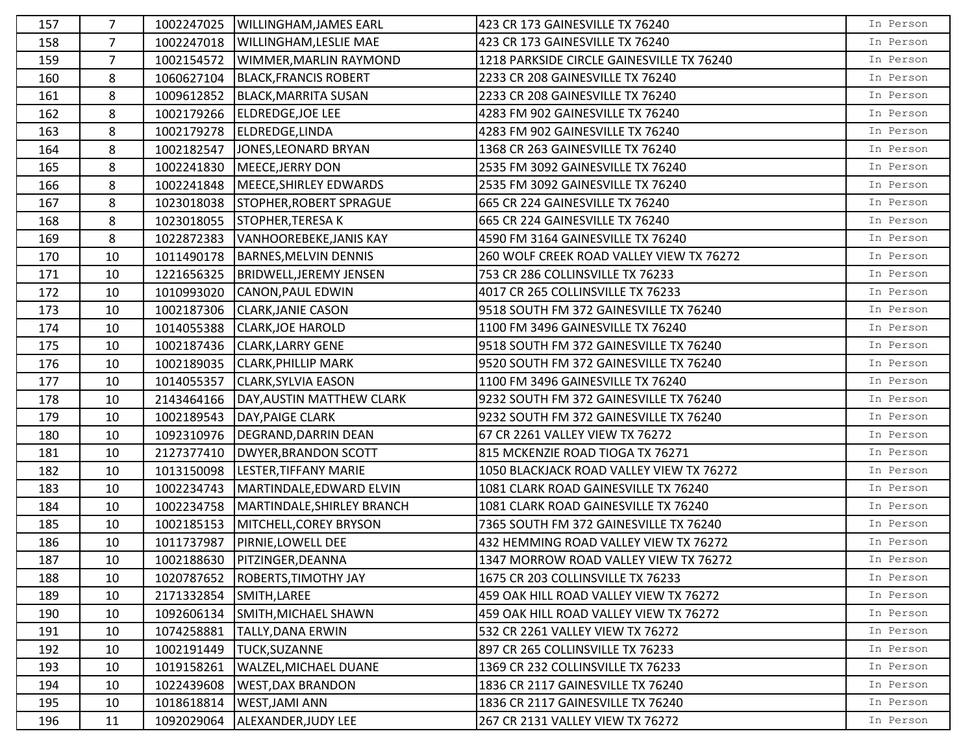| 157 | 7              | 1002247025 | <b>WILLINGHAM, JAMES EARL</b>  | 423 CR 173 GAINESVILLE TX 76240           | In Person |
|-----|----------------|------------|--------------------------------|-------------------------------------------|-----------|
| 158 | $\overline{7}$ | 1002247018 | <b>WILLINGHAM, LESLIE MAE</b>  | 423 CR 173 GAINESVILLE TX 76240           | In Person |
| 159 | 7              | 1002154572 | WIMMER, MARLIN RAYMOND         | 1218 PARKSIDE CIRCLE GAINESVILLE TX 76240 | In Person |
| 160 | 8              | 1060627104 | <b>BLACK, FRANCIS ROBERT</b>   | 2233 CR 208 GAINESVILLE TX 76240          | In Person |
| 161 | 8              | 1009612852 | BLACK, MARRITA SUSAN           | 2233 CR 208 GAINESVILLE TX 76240          | In Person |
| 162 | 8              | 1002179266 | <b>ELDREDGE, JOE LEE</b>       | 4283 FM 902 GAINESVILLE TX 76240          | In Person |
| 163 | 8              | 1002179278 | ELDREDGE,LINDA                 | 4283 FM 902 GAINESVILLE TX 76240          | In Person |
| 164 | 8              | 1002182547 | JONES, LEONARD BRYAN           | 1368 CR 263 GAINESVILLE TX 76240          | In Person |
| 165 | 8              | 1002241830 | MEECE, JERRY DON               | 2535 FM 3092 GAINESVILLE TX 76240         | In Person |
| 166 | 8              | 1002241848 | MEECE, SHIRLEY EDWARDS         | 2535 FM 3092 GAINESVILLE TX 76240         | In Person |
| 167 | 8              | 1023018038 | <b>STOPHER, ROBERT SPRAGUE</b> | 665 CR 224 GAINESVILLE TX 76240           | In Person |
| 168 | 8              | 1023018055 | <b>STOPHER, TERESA K</b>       | 665 CR 224 GAINESVILLE TX 76240           | In Person |
| 169 | 8              | 1022872383 | <b>VANHOOREBEKE, JANIS KAY</b> | 4590 FM 3164 GAINESVILLE TX 76240         | In Person |
| 170 | 10             | 1011490178 | <b>BARNES, MELVIN DENNIS</b>   | 260 WOLF CREEK ROAD VALLEY VIEW TX 76272  | In Person |
| 171 | 10             | 1221656325 | <b>BRIDWELL, JEREMY JENSEN</b> | 753 CR 286 COLLINSVILLE TX 76233          | In Person |
| 172 | 10             | 1010993020 | CANON, PAUL EDWIN              | 4017 CR 265 COLLINSVILLE TX 76233         | In Person |
| 173 | 10             | 1002187306 | <b>CLARK, JANIE CASON</b>      | 9518 SOUTH FM 372 GAINESVILLE TX 76240    | In Person |
| 174 | 10             | 1014055388 | <b>CLARK, JOE HAROLD</b>       | 1100 FM 3496 GAINESVILLE TX 76240         | In Person |
| 175 | 10             | 1002187436 | <b>CLARK, LARRY GENE</b>       | 9518 SOUTH FM 372 GAINESVILLE TX 76240    | In Person |
| 176 | 10             | 1002189035 | <b>CLARK, PHILLIP MARK</b>     | 9520 SOUTH FM 372 GAINESVILLE TX 76240    | In Person |
| 177 | 10             | 1014055357 | <b>CLARK, SYLVIA EASON</b>     | 1100 FM 3496 GAINESVILLE TX 76240         | In Person |
| 178 | 10             | 2143464166 | DAY, AUSTIN MATTHEW CLARK      | 9232 SOUTH FM 372 GAINESVILLE TX 76240    | In Person |
| 179 | 10             | 1002189543 | <b>DAY, PAIGE CLARK</b>        | 9232 SOUTH FM 372 GAINESVILLE TX 76240    | In Person |
| 180 | 10             | 1092310976 | DEGRAND, DARRIN DEAN           | 67 CR 2261 VALLEY VIEW TX 76272           | In Person |
| 181 | 10             | 2127377410 | <b>DWYER, BRANDON SCOTT</b>    | 815 MCKENZIE ROAD TIOGA TX 76271          | In Person |
| 182 | 10             | 1013150098 | LESTER, TIFFANY MARIE          | 1050 BLACKJACK ROAD VALLEY VIEW TX 76272  | In Person |
| 183 | 10             | 1002234743 | MARTINDALE, EDWARD ELVIN       | 1081 CLARK ROAD GAINESVILLE TX 76240      | In Person |
| 184 | 10             | 1002234758 | MARTINDALE, SHIRLEY BRANCH     | 1081 CLARK ROAD GAINESVILLE TX 76240      | In Person |
| 185 | 10             | 1002185153 | MITCHELL, COREY BRYSON         | 7365 SOUTH FM 372 GAINESVILLE TX 76240    | In Person |
| 186 | 10             | 1011737987 | PIRNIE, LOWELL DEE             | 432 HEMMING ROAD VALLEY VIEW TX 76272     | In Person |
| 187 | 10             | 1002188630 | PITZINGER, DEANNA              | 1347 MORROW ROAD VALLEY VIEW TX 76272     | In Person |
| 188 | 10             | 1020787652 | <b>ROBERTS, TIMOTHY JAY</b>    | 1675 CR 203 COLLINSVILLE TX 76233         | In Person |
| 189 | 10             | 2171332854 | SMITH, LAREE                   | 459 OAK HILL ROAD VALLEY VIEW TX 76272    | In Person |
| 190 | 10             | 1092606134 | SMITH, MICHAEL SHAWN           | 459 OAK HILL ROAD VALLEY VIEW TX 76272    | In Person |
| 191 | 10             | 1074258881 | TALLY, DANA ERWIN              | 532 CR 2261 VALLEY VIEW TX 76272          | In Person |
| 192 | 10             | 1002191449 | <b>TUCK, SUZANNE</b>           | 897 CR 265 COLLINSVILLE TX 76233          | In Person |
| 193 | 10             | 1019158261 | WALZEL, MICHAEL DUANE          | 1369 CR 232 COLLINSVILLE TX 76233         | In Person |
| 194 | 10             | 1022439608 | <b>WEST, DAX BRANDON</b>       | 1836 CR 2117 GAINESVILLE TX 76240         | In Person |
| 195 | 10             | 1018618814 | WEST, JAMI ANN                 | 1836 CR 2117 GAINESVILLE TX 76240         | In Person |
| 196 | 11             | 1092029064 | ALEXANDER, JUDY LEE            | 267 CR 2131 VALLEY VIEW TX 76272          | In Person |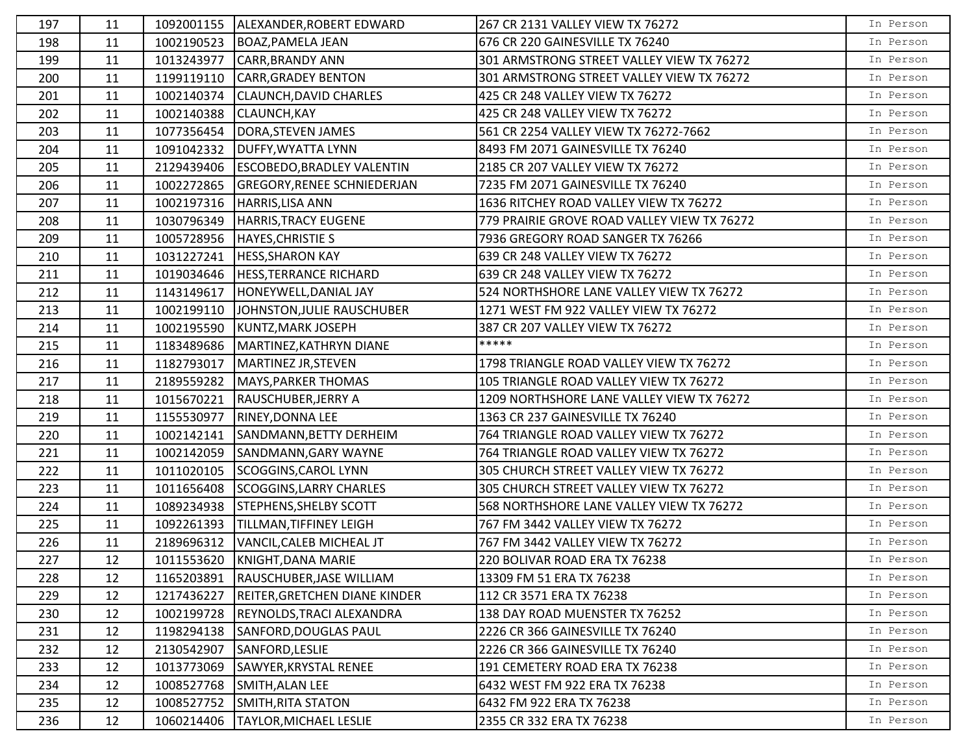| 197 | 11 | 1092001155 | ALEXANDER, ROBERT EDWARD             | 267 CR 2131 VALLEY VIEW TX 76272            | In Person |
|-----|----|------------|--------------------------------------|---------------------------------------------|-----------|
| 198 | 11 | 1002190523 | BOAZ, PAMELA JEAN                    | 676 CR 220 GAINESVILLE TX 76240             | In Person |
| 199 | 11 | 1013243977 | <b>CARR, BRANDY ANN</b>              | 301 ARMSTRONG STREET VALLEY VIEW TX 76272   | In Person |
| 200 | 11 | 1199119110 | <b>CARR, GRADEY BENTON</b>           | 301 ARMSTRONG STREET VALLEY VIEW TX 76272   | In Person |
| 201 | 11 | 1002140374 | <b>CLAUNCH, DAVID CHARLES</b>        | 425 CR 248 VALLEY VIEW TX 76272             | In Person |
| 202 | 11 | 1002140388 | <b>CLAUNCH, KAY</b>                  | 425 CR 248 VALLEY VIEW TX 76272             | In Person |
| 203 | 11 | 1077356454 | DORA, STEVEN JAMES                   | 561 CR 2254 VALLEY VIEW TX 76272-7662       | In Person |
| 204 | 11 | 1091042332 | DUFFY, WYATTA LYNN                   | 8493 FM 2071 GAINESVILLE TX 76240           | In Person |
| 205 | 11 | 2129439406 | <b>ESCOBEDO, BRADLEY VALENTIN</b>    | 2185 CR 207 VALLEY VIEW TX 76272            | In Person |
| 206 | 11 | 1002272865 | <b>GREGORY, RENEE SCHNIEDERJAN</b>   | 7235 FM 2071 GAINESVILLE TX 76240           | In Person |
| 207 | 11 | 1002197316 | HARRIS, LISA ANN                     | 1636 RITCHEY ROAD VALLEY VIEW TX 76272      | In Person |
| 208 | 11 | 1030796349 | HARRIS, TRACY EUGENE                 | 779 PRAIRIE GROVE ROAD VALLEY VIEW TX 76272 | In Person |
| 209 | 11 | 1005728956 | <b>HAYES, CHRISTIE S</b>             | 7936 GREGORY ROAD SANGER TX 76266           | In Person |
| 210 | 11 | 1031227241 | <b>HESS, SHARON KAY</b>              | 639 CR 248 VALLEY VIEW TX 76272             | In Person |
| 211 | 11 | 1019034646 | <b>HESS, TERRANCE RICHARD</b>        | 639 CR 248 VALLEY VIEW TX 76272             | In Person |
| 212 | 11 | 1143149617 | HONEYWELL, DANIAL JAY                | 524 NORTHSHORE LANE VALLEY VIEW TX 76272    | In Person |
| 213 | 11 | 1002199110 | JOHNSTON, JULIE RAUSCHUBER           | 1271 WEST FM 922 VALLEY VIEW TX 76272       | In Person |
| 214 | 11 | 1002195590 | KUNTZ, MARK JOSEPH                   | 387 CR 207 VALLEY VIEW TX 76272             | In Person |
| 215 | 11 | 1183489686 | MARTINEZ, KATHRYN DIANE              | *****                                       | In Person |
| 216 | 11 | 1182793017 | MARTINEZ JR, STEVEN                  | 1798 TRIANGLE ROAD VALLEY VIEW TX 76272     | In Person |
| 217 | 11 | 2189559282 | MAYS, PARKER THOMAS                  | 105 TRIANGLE ROAD VALLEY VIEW TX 76272      | In Person |
| 218 | 11 | 1015670221 | RAUSCHUBER, JERRY A                  | 1209 NORTHSHORE LANE VALLEY VIEW TX 76272   | In Person |
| 219 | 11 | 1155530977 | RINEY, DONNA LEE                     | 1363 CR 237 GAINESVILLE TX 76240            | In Person |
| 220 | 11 | 1002142141 | SANDMANN, BETTY DERHEIM              | 764 TRIANGLE ROAD VALLEY VIEW TX 76272      | In Person |
| 221 | 11 | 1002142059 | SANDMANN, GARY WAYNE                 | 764 TRIANGLE ROAD VALLEY VIEW TX 76272      | In Person |
| 222 | 11 | 1011020105 | SCOGGINS, CAROL LYNN                 | 305 CHURCH STREET VALLEY VIEW TX 76272      | In Person |
| 223 | 11 | 1011656408 | <b>SCOGGINS, LARRY CHARLES</b>       | 305 CHURCH STREET VALLEY VIEW TX 76272      | In Person |
| 224 | 11 | 1089234938 | STEPHENS, SHELBY SCOTT               | 568 NORTHSHORE LANE VALLEY VIEW TX 76272    | In Person |
| 225 | 11 | 1092261393 | TILLMAN, TIFFINEY LEIGH              | 767 FM 3442 VALLEY VIEW TX 76272            | In Person |
| 226 | 11 | 2189696312 | VANCIL, CALEB MICHEAL JT             | 767 FM 3442 VALLEY VIEW TX 76272            | In Person |
| 227 | 12 |            | 1011553620 KNIGHT, DANA MARIE        | 220 BOLIVAR ROAD ERA TX 76238               | In Person |
| 228 | 12 | 1165203891 | RAUSCHUBER, JASE WILLIAM             | 13309 FM 51 ERA TX 76238                    | In Person |
| 229 | 12 | 1217436227 | <b>REITER, GRETCHEN DIANE KINDER</b> | 112 CR 3571 ERA TX 76238                    | In Person |
| 230 | 12 | 1002199728 | REYNOLDS, TRACI ALEXANDRA            | 138 DAY ROAD MUENSTER TX 76252              | In Person |
| 231 | 12 | 1198294138 | <b>SANFORD, DOUGLAS PAUL</b>         | 2226 CR 366 GAINESVILLE TX 76240            | In Person |
| 232 | 12 | 2130542907 | SANFORD, LESLIE                      | 2226 CR 366 GAINESVILLE TX 76240            | In Person |
| 233 | 12 | 1013773069 | SAWYER, KRYSTAL RENEE                | 191 CEMETERY ROAD ERA TX 76238              | In Person |
| 234 | 12 | 1008527768 | <b>SMITH, ALAN LEE</b>               | 6432 WEST FM 922 ERA TX 76238               | In Person |
| 235 | 12 | 1008527752 | <b>SMITH, RITA STATON</b>            | 6432 FM 922 ERA TX 76238                    | In Person |
| 236 | 12 | 1060214406 | <b>TAYLOR, MICHAEL LESLIE</b>        | 2355 CR 332 ERA TX 76238                    | In Person |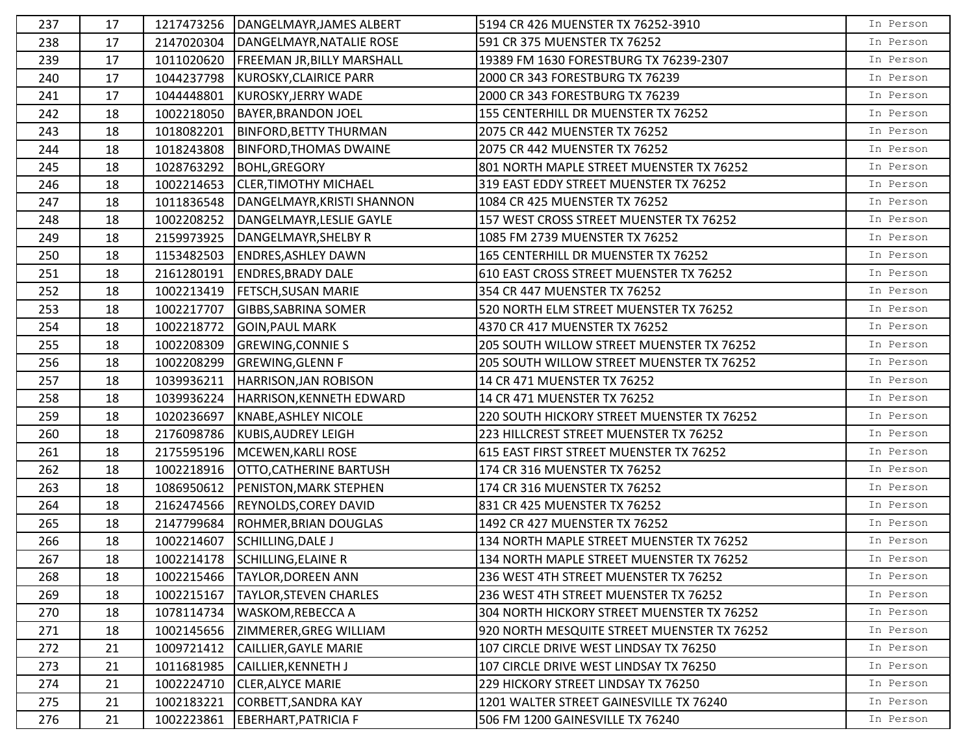| 237 | 17 | 1217473256 | DANGELMAYR, JAMES ALBERT          | 5194 CR 426 MUENSTER TX 76252-3910          | In Person |
|-----|----|------------|-----------------------------------|---------------------------------------------|-----------|
| 238 | 17 | 2147020304 | DANGELMAYR, NATALIE ROSE          | 591 CR 375 MUENSTER TX 76252                | In Person |
| 239 | 17 | 1011020620 | <b>FREEMAN JR, BILLY MARSHALL</b> | 19389 FM 1630 FORESTBURG TX 76239-2307      | In Person |
| 240 | 17 | 1044237798 | KUROSKY, CLAIRICE PARR            | 2000 CR 343 FORESTBURG TX 76239             | In Person |
| 241 | 17 | 1044448801 | KUROSKY, JERRY WADE               | 2000 CR 343 FORESTBURG TX 76239             | In Person |
| 242 | 18 | 1002218050 | <b>BAYER, BRANDON JOEL</b>        | 155 CENTERHILL DR MUENSTER TX 76252         | In Person |
| 243 | 18 | 1018082201 | <b>BINFORD, BETTY THURMAN</b>     | 2075 CR 442 MUENSTER TX 76252               | In Person |
| 244 | 18 | 1018243808 | <b>BINFORD, THOMAS DWAINE</b>     | 2075 CR 442 MUENSTER TX 76252               | In Person |
| 245 | 18 | 1028763292 | <b>BOHL, GREGORY</b>              | 801 NORTH MAPLE STREET MUENSTER TX 76252    | In Person |
| 246 | 18 | 1002214653 | <b>CLER, TIMOTHY MICHAEL</b>      | 319 EAST EDDY STREET MUENSTER TX 76252      | In Person |
| 247 | 18 | 1011836548 | DANGELMAYR, KRISTI SHANNON        | 1084 CR 425 MUENSTER TX 76252               | In Person |
| 248 | 18 | 1002208252 | DANGELMAYR, LESLIE GAYLE          | 157 WEST CROSS STREET MUENSTER TX 76252     | In Person |
| 249 | 18 | 2159973925 | DANGELMAYR, SHELBY R              | 1085 FM 2739 MUENSTER TX 76252              | In Person |
| 250 | 18 | 1153482503 | <b>ENDRES, ASHLEY DAWN</b>        | 165 CENTERHILL DR MUENSTER TX 76252         | In Person |
| 251 | 18 | 2161280191 | <b>ENDRES, BRADY DALE</b>         | 610 EAST CROSS STREET MUENSTER TX 76252     | In Person |
| 252 | 18 | 1002213419 | <b>FETSCH, SUSAN MARIE</b>        | 354 CR 447 MUENSTER TX 76252                | In Person |
| 253 | 18 | 1002217707 | <b>GIBBS, SABRINA SOMER</b>       | 520 NORTH ELM STREET MUENSTER TX 76252      | In Person |
| 254 | 18 | 1002218772 | <b>GOIN, PAUL MARK</b>            | 4370 CR 417 MUENSTER TX 76252               | In Person |
| 255 | 18 | 1002208309 | <b>GREWING, CONNIE S</b>          | 205 SOUTH WILLOW STREET MUENSTER TX 76252   | In Person |
| 256 | 18 | 1002208299 | <b>GREWING, GLENN F</b>           | 205 SOUTH WILLOW STREET MUENSTER TX 76252   | In Person |
| 257 | 18 | 1039936211 | HARRISON, JAN ROBISON             | 14 CR 471 MUENSTER TX 76252                 | In Person |
| 258 | 18 | 1039936224 | HARRISON, KENNETH EDWARD          | 14 CR 471 MUENSTER TX 76252                 | In Person |
| 259 | 18 | 1020236697 | <b>KNABE, ASHLEY NICOLE</b>       | 220 SOUTH HICKORY STREET MUENSTER TX 76252  | In Person |
| 260 | 18 | 2176098786 | KUBIS, AUDREY LEIGH               | 223 HILLCREST STREET MUENSTER TX 76252      | In Person |
| 261 | 18 | 2175595196 | MCEWEN, KARLI ROSE                | 615 EAST FIRST STREET MUENSTER TX 76252     | In Person |
| 262 | 18 | 1002218916 | <b>OTTO, CATHERINE BARTUSH</b>    | 174 CR 316 MUENSTER TX 76252                | In Person |
| 263 | 18 | 1086950612 | PENISTON, MARK STEPHEN            | 174 CR 316 MUENSTER TX 76252                | In Person |
| 264 | 18 | 2162474566 | <b>REYNOLDS, COREY DAVID</b>      | 831 CR 425 MUENSTER TX 76252                | In Person |
| 265 | 18 | 2147799684 | <b>ROHMER, BRIAN DOUGLAS</b>      | 1492 CR 427 MUENSTER TX 76252               | In Person |
| 266 | 18 | 1002214607 | SCHILLING, DALE J                 | 134 NORTH MAPLE STREET MUENSTER TX 76252    | In Person |
| 267 | 18 |            | 1002214178 SCHILLING, ELAINE R    | 134 NORTH MAPLE STREET MUENSTER TX 76252    | In Person |
| 268 | 18 | 1002215466 | <b>TAYLOR, DOREEN ANN</b>         | 236 WEST 4TH STREET MUENSTER TX 76252       | In Person |
| 269 | 18 | 1002215167 | <b>TAYLOR, STEVEN CHARLES</b>     | 236 WEST 4TH STREET MUENSTER TX 76252       | In Person |
| 270 | 18 | 1078114734 | <b>WASKOM, REBECCA A</b>          | 304 NORTH HICKORY STREET MUENSTER TX 76252  | In Person |
| 271 | 18 | 1002145656 | ZIMMERER, GREG WILLIAM            | 920 NORTH MESQUITE STREET MUENSTER TX 76252 | In Person |
| 272 | 21 | 1009721412 | CAILLIER, GAYLE MARIE             | 107 CIRCLE DRIVE WEST LINDSAY TX 76250      | In Person |
| 273 | 21 | 1011681985 | CAILLIER, KENNETH J               | 107 CIRCLE DRIVE WEST LINDSAY TX 76250      | In Person |
| 274 | 21 | 1002224710 | <b>CLER, ALYCE MARIE</b>          | 229 HICKORY STREET LINDSAY TX 76250         | In Person |
| 275 | 21 | 1002183221 | CORBETT, SANDRA KAY               | 1201 WALTER STREET GAINESVILLE TX 76240     | In Person |
| 276 | 21 | 1002223861 | EBERHART, PATRICIA F              | 506 FM 1200 GAINESVILLE TX 76240            | In Person |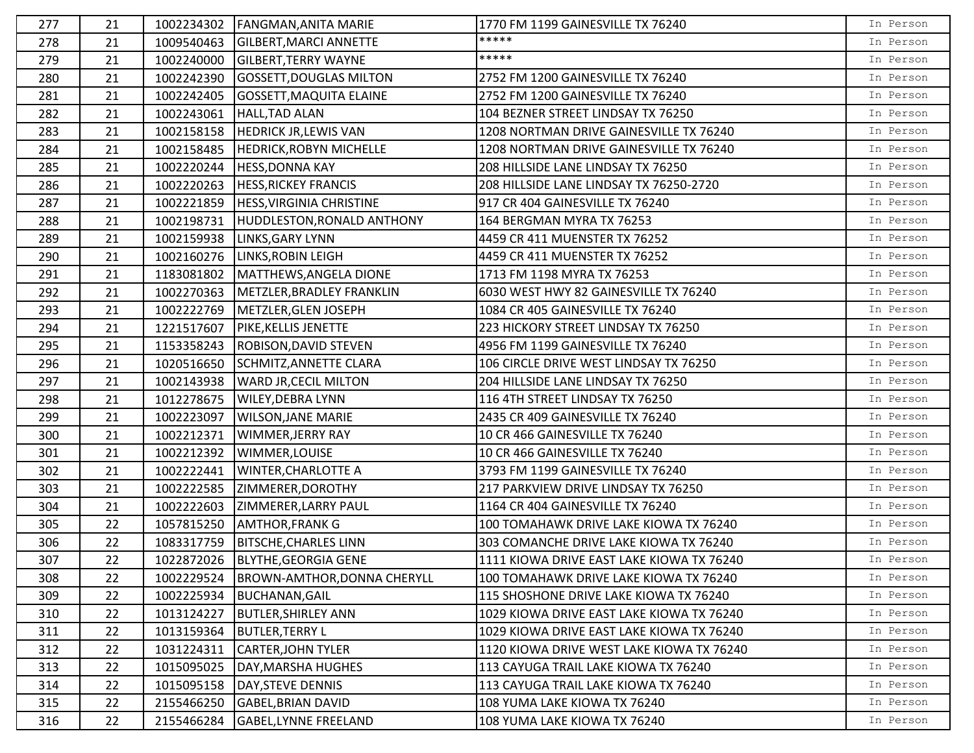| 277 | 21 | 1002234302 | <b>FANGMAN, ANITA MARIE</b>             | 1770 FM 1199 GAINESVILLE TX 76240         | In Person |
|-----|----|------------|-----------------------------------------|-------------------------------------------|-----------|
| 278 | 21 | 1009540463 | <b>GILBERT, MARCI ANNETTE</b>           | *****                                     | In Person |
| 279 | 21 | 1002240000 | <b>GILBERT, TERRY WAYNE</b>             | *****                                     | In Person |
| 280 | 21 | 1002242390 | <b>GOSSETT, DOUGLAS MILTON</b>          | 2752 FM 1200 GAINESVILLE TX 76240         | In Person |
| 281 | 21 | 1002242405 | <b>GOSSETT, MAQUITA ELAINE</b>          | 2752 FM 1200 GAINESVILLE TX 76240         | In Person |
| 282 | 21 | 1002243061 | HALL, TAD ALAN                          | 104 BEZNER STREET LINDSAY TX 76250        | In Person |
| 283 | 21 | 1002158158 | <b>HEDRICK JR, LEWIS VAN</b>            | 1208 NORTMAN DRIVE GAINESVILLE TX 76240   | In Person |
| 284 | 21 | 1002158485 | <b>HEDRICK, ROBYN MICHELLE</b>          | 1208 NORTMAN DRIVE GAINESVILLE TX 76240   | In Person |
| 285 | 21 | 1002220244 | <b>HESS, DONNA KAY</b>                  | 208 HILLSIDE LANE LINDSAY TX 76250        | In Person |
| 286 | 21 |            | 1002220263  HESS, RICKEY FRANCIS        | 208 HILLSIDE LANE LINDSAY TX 76250-2720   | In Person |
| 287 | 21 |            | 1002221859   HESS, VIRGINIA CHRISTINE   | 917 CR 404 GAINESVILLE TX 76240           | In Person |
| 288 | 21 | 1002198731 | HUDDLESTON, RONALD ANTHONY              | 164 BERGMAN MYRA TX 76253                 | In Person |
| 289 | 21 | 1002159938 | <b>LINKS, GARY LYNN</b>                 | 4459 CR 411 MUENSTER TX 76252             | In Person |
| 290 | 21 | 1002160276 | LINKS, ROBIN LEIGH                      | 4459 CR 411 MUENSTER TX 76252             | In Person |
| 291 | 21 | 1183081802 | MATTHEWS, ANGELA DIONE                  | 1713 FM 1198 MYRA TX 76253                | In Person |
| 292 | 21 | 1002270363 | METZLER, BRADLEY FRANKLIN               | 6030 WEST HWY 82 GAINESVILLE TX 76240     | In Person |
| 293 | 21 | 1002222769 | METZLER, GLEN JOSEPH                    | 1084 CR 405 GAINESVILLE TX 76240          | In Person |
| 294 | 21 | 1221517607 | <b>PIKE, KELLIS JENETTE</b>             | 223 HICKORY STREET LINDSAY TX 76250       | In Person |
| 295 | 21 | 1153358243 | <b>ROBISON, DAVID STEVEN</b>            | 4956 FM 1199 GAINESVILLE TX 76240         | In Person |
| 296 | 21 | 1020516650 | SCHMITZ, ANNETTE CLARA                  | 106 CIRCLE DRIVE WEST LINDSAY TX 76250    | In Person |
| 297 | 21 | 1002143938 | <b>WARD JR, CECIL MILTON</b>            | 204 HILLSIDE LANE LINDSAY TX 76250        | In Person |
| 298 | 21 | 1012278675 | <b>WILEY, DEBRA LYNN</b>                | 116 4TH STREET LINDSAY TX 76250           | In Person |
| 299 | 21 | 1002223097 | <b>WILSON, JANE MARIE</b>               | 2435 CR 409 GAINESVILLE TX 76240          | In Person |
| 300 | 21 | 1002212371 | WIMMER, JERRY RAY                       | 10 CR 466 GAINESVILLE TX 76240            | In Person |
| 301 | 21 | 1002212392 | WIMMER, LOUISE                          | 10 CR 466 GAINESVILLE TX 76240            | In Person |
| 302 | 21 | 1002222441 | <b>WINTER, CHARLOTTE A</b>              | 3793 FM 1199 GAINESVILLE TX 76240         | In Person |
| 303 | 21 | 1002222585 | ZIMMERER, DOROTHY                       | 217 PARKVIEW DRIVE LINDSAY TX 76250       | In Person |
| 304 | 21 | 1002222603 | <b>ZIMMERER, LARRY PAUL</b>             | 1164 CR 404 GAINESVILLE TX 76240          | In Person |
| 305 | 22 | 1057815250 | <b>AMTHOR, FRANK G</b>                  | 100 TOMAHAWK DRIVE LAKE KIOWA TX 76240    | In Person |
| 306 | 22 | 1083317759 | <b>BITSCHE, CHARLES LINN</b>            | 303 COMANCHE DRIVE LAKE KIOWA TX 76240    | In Person |
| 307 | 22 |            | 1022872026   BLYTHE, GEORGIA GENE       | 1111 KIOWA DRIVE EAST LAKE KIOWA TX 76240 | In Person |
| 308 | 22 |            | 1002229524  BROWN-AMTHOR, DONNA CHERYLL | 100 TOMAHAWK DRIVE LAKE KIOWA TX 76240    | In Person |
| 309 | 22 | 1002225934 | <b>BUCHANAN, GAIL</b>                   | 115 SHOSHONE DRIVE LAKE KIOWA TX 76240    | In Person |
| 310 | 22 | 1013124227 | <b>BUTLER, SHIRLEY ANN</b>              | 1029 KIOWA DRIVE EAST LAKE KIOWA TX 76240 | In Person |
| 311 | 22 | 1013159364 | <b>BUTLER, TERRY L</b>                  | 1029 KIOWA DRIVE EAST LAKE KIOWA TX 76240 | In Person |
| 312 | 22 | 1031224311 | <b>CARTER, JOHN TYLER</b>               | 1120 KIOWA DRIVE WEST LAKE KIOWA TX 76240 | In Person |
| 313 | 22 | 1015095025 | DAY, MARSHA HUGHES                      | 113 CAYUGA TRAIL LAKE KIOWA TX 76240      | In Person |
| 314 | 22 | 1015095158 | DAY, STEVE DENNIS                       | 113 CAYUGA TRAIL LAKE KIOWA TX 76240      | In Person |
| 315 | 22 | 2155466250 | <b>GABEL, BRIAN DAVID</b>               | 108 YUMA LAKE KIOWA TX 76240              | In Person |
| 316 | 22 | 2155466284 | GABEL, LYNNE FREELAND                   | 108 YUMA LAKE KIOWA TX 76240              | In Person |